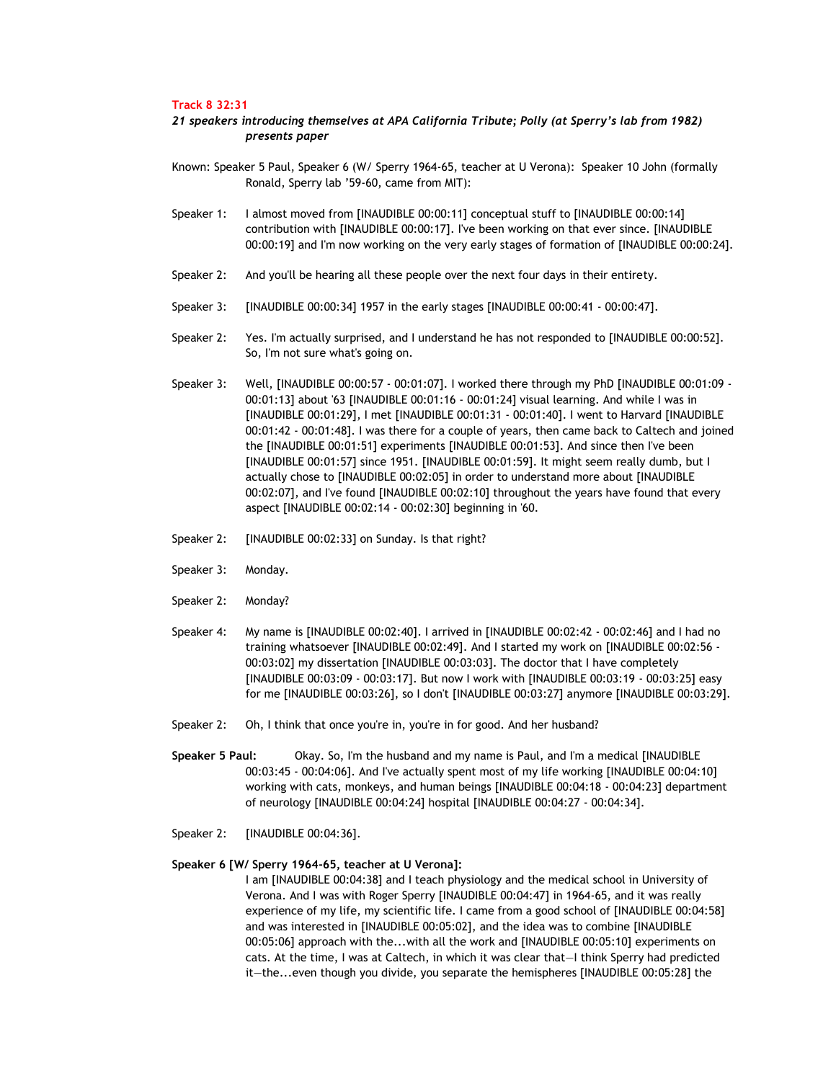### **Track 8 32:31**

# *21 speakers introducing themselves at APA California Tribute; Polly (at Sperry's lab from 1982) presents paper*

- Known: Speaker 5 Paul, Speaker 6 (W/ Sperry 1964-65, teacher at U Verona): Speaker 10 John (formally Ronald, Sperry lab '59-60, came from MIT):
- Speaker 1: I almost moved from [INAUDIBLE 00:00:11] conceptual stuff to [INAUDIBLE 00:00:14] contribution with [INAUDIBLE 00:00:17]. I've been working on that ever since. [INAUDIBLE 00:00:19] and I'm now working on the very early stages of formation of [INAUDIBLE 00:00:24].
- Speaker 2: And you'll be hearing all these people over the next four days in their entirety.
- Speaker 3: [INAUDIBLE 00:00:34] 1957 in the early stages [INAUDIBLE 00:00:41 00:00:47].
- Speaker 2: Yes. I'm actually surprised, and I understand he has not responded to [INAUDIBLE 00:00:52]. So, I'm not sure what's going on.
- Speaker 3: Well, [INAUDIBLE 00:00:57 00:01:07]. I worked there through my PhD [INAUDIBLE 00:01:09 00:01:13] about '63 [INAUDIBLE 00:01:16 - 00:01:24] visual learning. And while I was in [INAUDIBLE 00:01:29], I met [INAUDIBLE 00:01:31 - 00:01:40]. I went to Harvard [INAUDIBLE 00:01:42 - 00:01:48]. I was there for a couple of years, then came back to Caltech and joined the [INAUDIBLE 00:01:51] experiments [INAUDIBLE 00:01:53]. And since then I've been [INAUDIBLE 00:01:57] since 1951. [INAUDIBLE 00:01:59]. It might seem really dumb, but I actually chose to [INAUDIBLE 00:02:05] in order to understand more about [INAUDIBLE 00:02:07], and I've found [INAUDIBLE 00:02:10] throughout the years have found that every aspect [INAUDIBLE 00:02:14 - 00:02:30] beginning in '60.
- Speaker 2: [INAUDIBLE 00:02:33] on Sunday. Is that right?
- Speaker 3: Monday.
- Speaker 2: Monday?
- Speaker 4: My name is [INAUDIBLE 00:02:40]. I arrived in [INAUDIBLE 00:02:42 00:02:46] and I had no training whatsoever [INAUDIBLE 00:02:49]. And I started my work on [INAUDIBLE 00:02:56 - 00:03:02] my dissertation [INAUDIBLE 00:03:03]. The doctor that I have completely [INAUDIBLE 00:03:09 - 00:03:17]. But now I work with [INAUDIBLE 00:03:19 - 00:03:25] easy for me [INAUDIBLE 00:03:26], so I don't [INAUDIBLE 00:03:27] anymore [INAUDIBLE 00:03:29].
- Speaker 2: Oh, I think that once you're in, you're in for good. And her husband?
- **Speaker 5 Paul:** Okay. So, I'm the husband and my name is Paul, and I'm a medical [INAUDIBLE 00:03:45 - 00:04:06]. And I've actually spent most of my life working [INAUDIBLE 00:04:10] working with cats, monkeys, and human beings [INAUDIBLE 00:04:18 - 00:04:23] department of neurology [INAUDIBLE 00:04:24] hospital [INAUDIBLE 00:04:27 - 00:04:34].
- Speaker 2: [INAUDIBLE 00:04:36].

## **Speaker 6 [W/ Sperry 1964-65, teacher at U Verona]:**

I am [INAUDIBLE 00:04:38] and I teach physiology and the medical school in University of Verona. And I was with Roger Sperry [INAUDIBLE 00:04:47] in 1964-65, and it was really experience of my life, my scientific life. I came from a good school of [INAUDIBLE 00:04:58] and was interested in [INAUDIBLE 00:05:02], and the idea was to combine [INAUDIBLE 00:05:06] approach with the...with all the work and [INAUDIBLE 00:05:10] experiments on cats. At the time, I was at Caltech, in which it was clear that—I think Sperry had predicted it—the...even though you divide, you separate the hemispheres [INAUDIBLE 00:05:28] the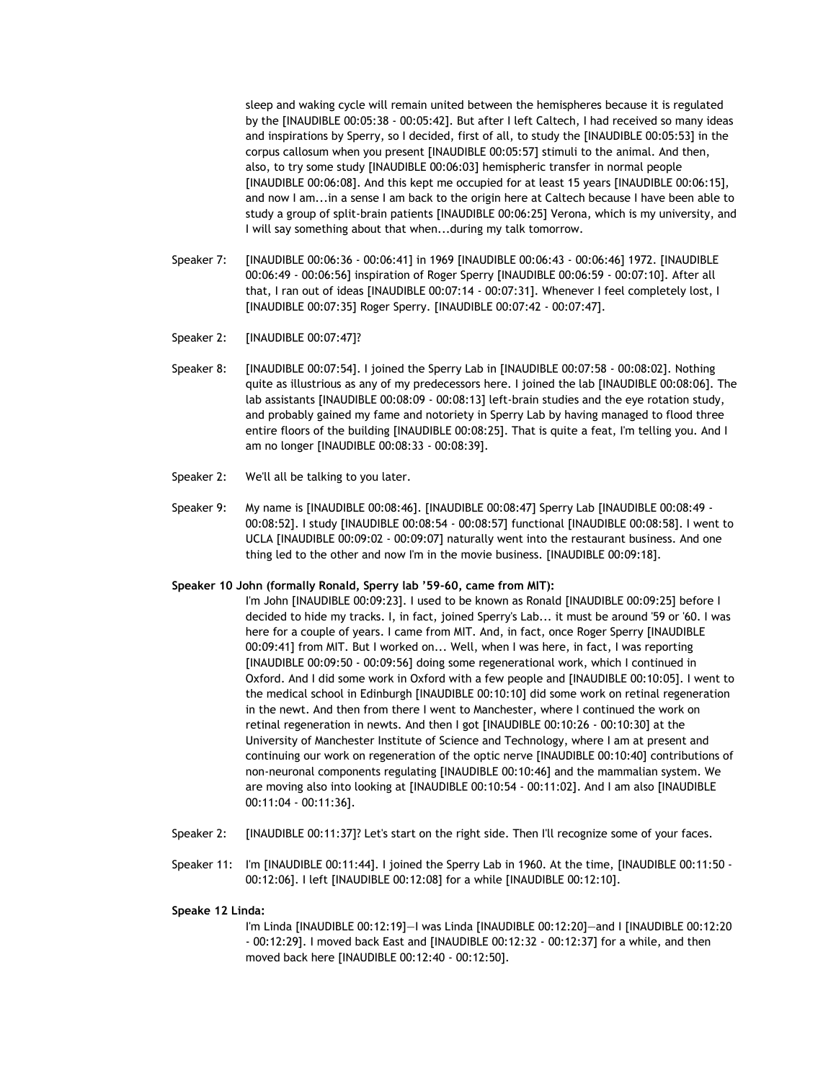sleep and waking cycle will remain united between the hemispheres because it is regulated by the [INAUDIBLE 00:05:38 - 00:05:42]. But after I left Caltech, I had received so many ideas and inspirations by Sperry, so I decided, first of all, to study the [INAUDIBLE 00:05:53] in the corpus callosum when you present [INAUDIBLE 00:05:57] stimuli to the animal. And then, also, to try some study [INAUDIBLE 00:06:03] hemispheric transfer in normal people [INAUDIBLE 00:06:08]. And this kept me occupied for at least 15 years [INAUDIBLE 00:06:15], and now I am...in a sense I am back to the origin here at Caltech because I have been able to study a group of split-brain patients [INAUDIBLE 00:06:25] Verona, which is my university, and I will say something about that when...during my talk tomorrow.

- Speaker 7: [INAUDIBLE 00:06:36 00:06:41] in 1969 [INAUDIBLE 00:06:43 00:06:46] 1972. [INAUDIBLE 00:06:49 - 00:06:56] inspiration of Roger Sperry [INAUDIBLE 00:06:59 - 00:07:10]. After all that, I ran out of ideas [INAUDIBLE 00:07:14 - 00:07:31]. Whenever I feel completely lost, I [INAUDIBLE 00:07:35] Roger Sperry. [INAUDIBLE 00:07:42 - 00:07:47].
- Speaker 2: [INAUDIBLE 00:07:47]?
- Speaker 8: [INAUDIBLE 00:07:54]. I joined the Sperry Lab in [INAUDIBLE 00:07:58 00:08:02]. Nothing quite as illustrious as any of my predecessors here. I joined the lab [INAUDIBLE 00:08:06]. The lab assistants [INAUDIBLE 00:08:09 - 00:08:13] left-brain studies and the eye rotation study, and probably gained my fame and notoriety in Sperry Lab by having managed to flood three entire floors of the building [INAUDIBLE 00:08:25]. That is quite a feat, I'm telling you. And I am no longer [INAUDIBLE 00:08:33 - 00:08:39].
- Speaker 2: We'll all be talking to you later.
- Speaker 9: My name is [INAUDIBLE 00:08:46]. [INAUDIBLE 00:08:47] Sperry Lab [INAUDIBLE 00:08:49 00:08:52]. I study [INAUDIBLE 00:08:54 - 00:08:57] functional [INAUDIBLE 00:08:58]. I went to UCLA [INAUDIBLE 00:09:02 - 00:09:07] naturally went into the restaurant business. And one thing led to the other and now I'm in the movie business. [INAUDIBLE 00:09:18].

## **Speaker 10 John (formally Ronald, Sperry lab '59-60, came from MIT):**

- I'm John [INAUDIBLE 00:09:23]. I used to be known as Ronald [INAUDIBLE 00:09:25] before I decided to hide my tracks. I, in fact, joined Sperry's Lab... it must be around '59 or '60. I was here for a couple of years. I came from MIT. And, in fact, once Roger Sperry [INAUDIBLE 00:09:41] from MIT. But I worked on... Well, when I was here, in fact, I was reporting [INAUDIBLE 00:09:50 - 00:09:56] doing some regenerational work, which I continued in Oxford. And I did some work in Oxford with a few people and [INAUDIBLE 00:10:05]. I went to the medical school in Edinburgh [INAUDIBLE 00:10:10] did some work on retinal regeneration in the newt. And then from there I went to Manchester, where I continued the work on retinal regeneration in newts. And then I got [INAUDIBLE 00:10:26 - 00:10:30] at the University of Manchester Institute of Science and Technology, where I am at present and continuing our work on regeneration of the optic nerve [INAUDIBLE 00:10:40] contributions of non-neuronal components regulating [INAUDIBLE 00:10:46] and the mammalian system. We are moving also into looking at [INAUDIBLE 00:10:54 - 00:11:02]. And I am also [INAUDIBLE 00:11:04 - 00:11:36].
- Speaker 2: [INAUDIBLE 00:11:37]? Let's start on the right side. Then I'll recognize some of your faces.
- Speaker 11: I'm [INAUDIBLE 00:11:44]. I joined the Sperry Lab in 1960. At the time, [INAUDIBLE 00:11:50 00:12:06]. I left [INAUDIBLE 00:12:08] for a while [INAUDIBLE 00:12:10].

#### **Speake 12 Linda:**

I'm Linda [INAUDIBLE 00:12:19]—I was Linda [INAUDIBLE 00:12:20]—and I [INAUDIBLE 00:12:20 - 00:12:29]. I moved back East and [INAUDIBLE 00:12:32 - 00:12:37] for a while, and then moved back here [INAUDIBLE 00:12:40 - 00:12:50].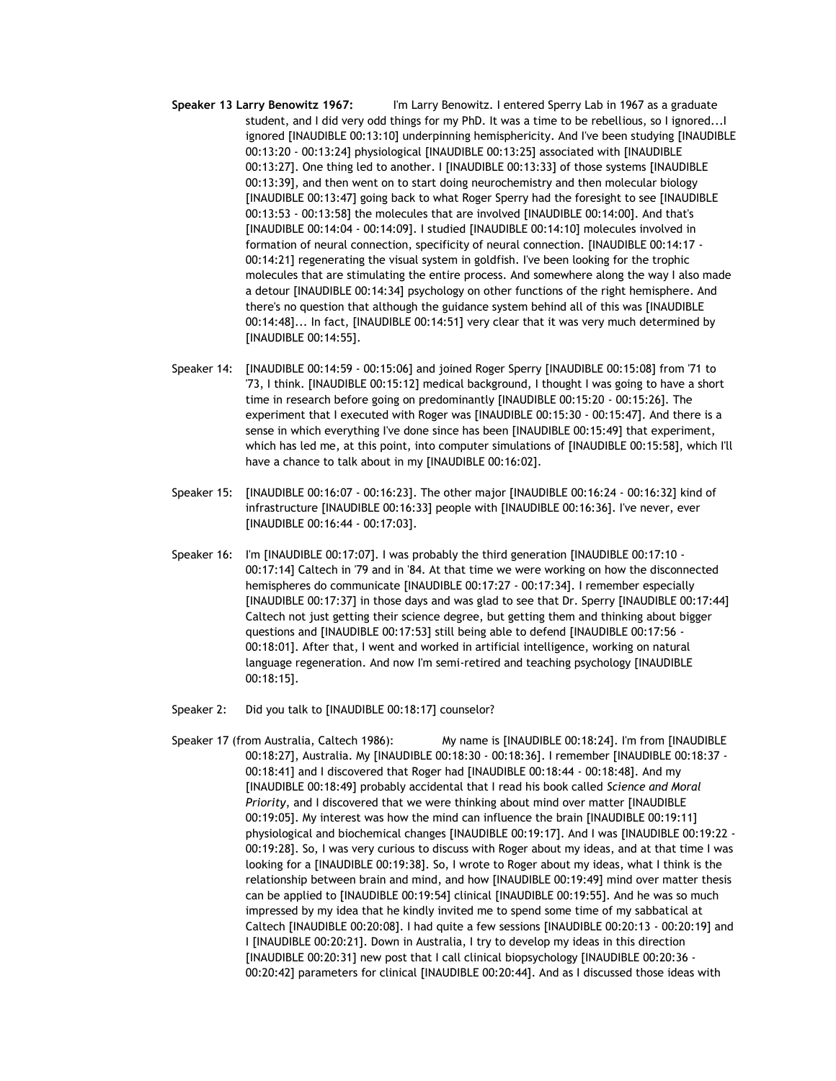- **Speaker 13 Larry Benowitz 1967:** I'm Larry Benowitz. I entered Sperry Lab in 1967 as a graduate student, and I did very odd things for my PhD. It was a time to be rebellious, so I ignored...I ignored [INAUDIBLE 00:13:10] underpinning hemisphericity. And I've been studying [INAUDIBLE 00:13:20 - 00:13:24] physiological [INAUDIBLE 00:13:25] associated with [INAUDIBLE 00:13:27]. One thing led to another. I [INAUDIBLE 00:13:33] of those systems [INAUDIBLE 00:13:39], and then went on to start doing neurochemistry and then molecular biology [INAUDIBLE 00:13:47] going back to what Roger Sperry had the foresight to see [INAUDIBLE 00:13:53 - 00:13:58] the molecules that are involved [INAUDIBLE 00:14:00]. And that's [INAUDIBLE 00:14:04 - 00:14:09]. I studied [INAUDIBLE 00:14:10] molecules involved in formation of neural connection, specificity of neural connection. [INAUDIBLE 00:14:17 - 00:14:21] regenerating the visual system in goldfish. I've been looking for the trophic molecules that are stimulating the entire process. And somewhere along the way I also made a detour [INAUDIBLE 00:14:34] psychology on other functions of the right hemisphere. And there's no question that although the guidance system behind all of this was [INAUDIBLE 00:14:48]... In fact, [INAUDIBLE 00:14:51] very clear that it was very much determined by [INAUDIBLE 00:14:55].
- Speaker 14: [INAUDIBLE 00:14:59 00:15:06] and joined Roger Sperry [INAUDIBLE 00:15:08] from '71 to '73, I think. [INAUDIBLE 00:15:12] medical background, I thought I was going to have a short time in research before going on predominantly [INAUDIBLE 00:15:20 - 00:15:26]. The experiment that I executed with Roger was [INAUDIBLE 00:15:30 - 00:15:47]. And there is a sense in which everything I've done since has been [INAUDIBLE 00:15:49] that experiment, which has led me, at this point, into computer simulations of [INAUDIBLE 00:15:58], which I'll have a chance to talk about in my [INAUDIBLE 00:16:02].
- Speaker 15: [INAUDIBLE 00:16:07 00:16:23]. The other major [INAUDIBLE 00:16:24 00:16:32] kind of infrastructure [INAUDIBLE 00:16:33] people with [INAUDIBLE 00:16:36]. I've never, ever [INAUDIBLE 00:16:44 - 00:17:03].
- Speaker 16: I'm [INAUDIBLE 00:17:07]. I was probably the third generation [INAUDIBLE 00:17:10 00:17:14] Caltech in '79 and in '84. At that time we were working on how the disconnected hemispheres do communicate [INAUDIBLE 00:17:27 - 00:17:34]. I remember especially [INAUDIBLE 00:17:37] in those days and was glad to see that Dr. Sperry [INAUDIBLE 00:17:44] Caltech not just getting their science degree, but getting them and thinking about bigger questions and [INAUDIBLE 00:17:53] still being able to defend [INAUDIBLE 00:17:56 - 00:18:01]. After that, I went and worked in artificial intelligence, working on natural language regeneration. And now I'm semi-retired and teaching psychology [INAUDIBLE 00:18:15].
- Speaker 2: Did you talk to [INAUDIBLE 00:18:17] counselor?
- Speaker 17 (from Australia, Caltech 1986): My name is [INAUDIBLE 00:18:24]. I'm from [INAUDIBLE 00:18:27], Australia. My [INAUDIBLE 00:18:30 - 00:18:36]. I remember [INAUDIBLE 00:18:37 - 00:18:41] and I discovered that Roger had [INAUDIBLE 00:18:44 - 00:18:48]. And my [INAUDIBLE 00:18:49] probably accidental that I read his book called *Science and Moral Priority*, and I discovered that we were thinking about mind over matter [INAUDIBLE 00:19:05]. My interest was how the mind can influence the brain [INAUDIBLE 00:19:11] physiological and biochemical changes [INAUDIBLE 00:19:17]. And I was [INAUDIBLE 00:19:22 - 00:19:28]. So, I was very curious to discuss with Roger about my ideas, and at that time I was looking for a [INAUDIBLE 00:19:38]. So, I wrote to Roger about my ideas, what I think is the relationship between brain and mind, and how [INAUDIBLE 00:19:49] mind over matter thesis can be applied to [INAUDIBLE 00:19:54] clinical [INAUDIBLE 00:19:55]. And he was so much impressed by my idea that he kindly invited me to spend some time of my sabbatical at Caltech [INAUDIBLE 00:20:08]. I had quite a few sessions [INAUDIBLE 00:20:13 - 00:20:19] and I [INAUDIBLE 00:20:21]. Down in Australia, I try to develop my ideas in this direction [INAUDIBLE 00:20:31] new post that I call clinical biopsychology [INAUDIBLE 00:20:36 - 00:20:42] parameters for clinical [INAUDIBLE 00:20:44]. And as I discussed those ideas with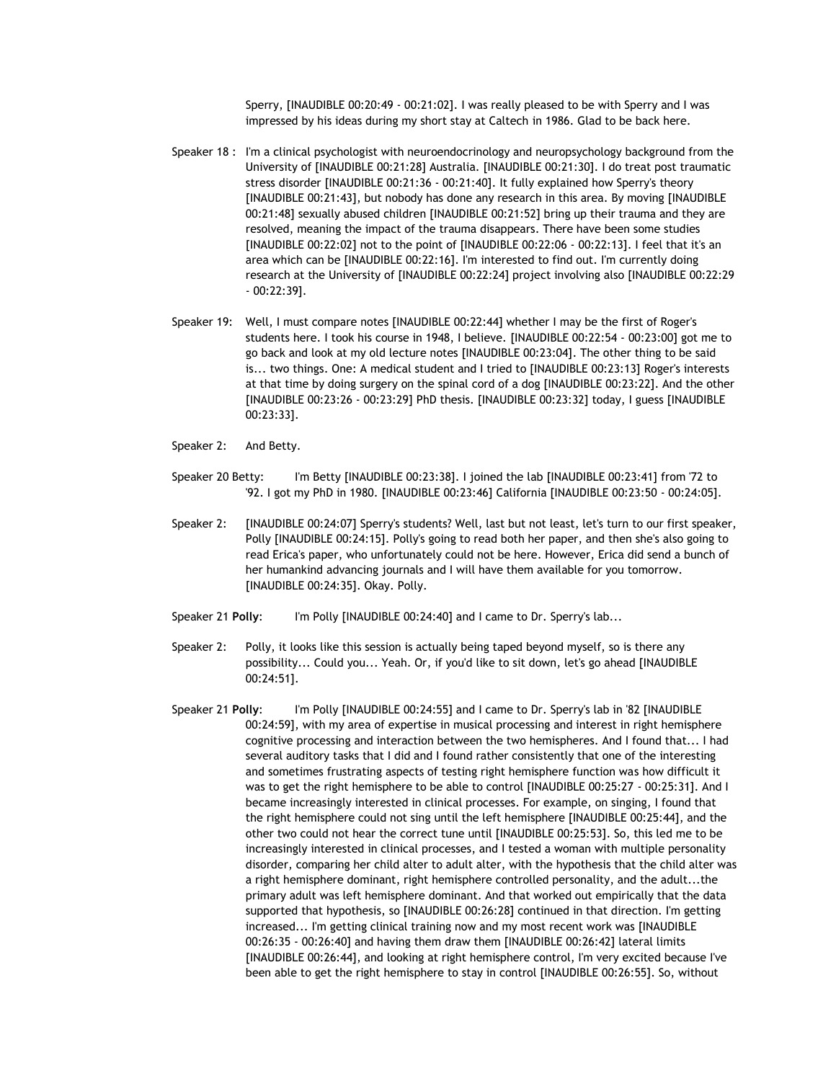Sperry, [INAUDIBLE 00:20:49 - 00:21:02]. I was really pleased to be with Sperry and I was impressed by his ideas during my short stay at Caltech in 1986. Glad to be back here.

- Speaker 18 : I'm a clinical psychologist with neuroendocrinology and neuropsychology background from the University of [INAUDIBLE 00:21:28] Australia. [INAUDIBLE 00:21:30]. I do treat post traumatic stress disorder [INAUDIBLE 00:21:36 - 00:21:40]. It fully explained how Sperry's theory [INAUDIBLE 00:21:43], but nobody has done any research in this area. By moving [INAUDIBLE 00:21:48] sexually abused children [INAUDIBLE 00:21:52] bring up their trauma and they are resolved, meaning the impact of the trauma disappears. There have been some studies [INAUDIBLE 00:22:02] not to the point of [INAUDIBLE 00:22:06 - 00:22:13]. I feel that it's an area which can be [INAUDIBLE 00:22:16]. I'm interested to find out. I'm currently doing research at the University of [INAUDIBLE 00:22:24] project involving also [INAUDIBLE 00:22:29 - 00:22:39].
- Speaker 19: Well, I must compare notes [INAUDIBLE 00:22:44] whether I may be the first of Roger's students here. I took his course in 1948, I believe. [INAUDIBLE 00:22:54 - 00:23:00] got me to go back and look at my old lecture notes [INAUDIBLE 00:23:04]. The other thing to be said is... two things. One: A medical student and I tried to [INAUDIBLE 00:23:13] Roger's interests at that time by doing surgery on the spinal cord of a dog [INAUDIBLE 00:23:22]. And the other [INAUDIBLE 00:23:26 - 00:23:29] PhD thesis. [INAUDIBLE 00:23:32] today, I guess [INAUDIBLE 00:23:33].
- Speaker 2: And Betty.
- Speaker 20 Betty: I'm Betty [INAUDIBLE 00:23:38]. I joined the lab [INAUDIBLE 00:23:41] from '72 to '92. I got my PhD in 1980. [INAUDIBLE 00:23:46] California [INAUDIBLE 00:23:50 - 00:24:05].
- Speaker 2: [INAUDIBLE 00:24:07] Sperry's students? Well, last but not least, let's turn to our first speaker, Polly [INAUDIBLE 00:24:15]. Polly's going to read both her paper, and then she's also going to read Erica's paper, who unfortunately could not be here. However, Erica did send a bunch of her humankind advancing journals and I will have them available for you tomorrow. [INAUDIBLE 00:24:35]. Okay. Polly.
- Speaker 21 **Polly**: I'm Polly [INAUDIBLE 00:24:40] and I came to Dr. Sperry's lab...
- Speaker 2: Polly, it looks like this session is actually being taped beyond myself, so is there any possibility... Could you... Yeah. Or, if you'd like to sit down, let's go ahead [INAUDIBLE 00:24:51].
- Speaker 21 **Polly**: I'm Polly [INAUDIBLE 00:24:55] and I came to Dr. Sperry's lab in '82 [INAUDIBLE 00:24:59], with my area of expertise in musical processing and interest in right hemisphere cognitive processing and interaction between the two hemispheres. And I found that... I had several auditory tasks that I did and I found rather consistently that one of the interesting and sometimes frustrating aspects of testing right hemisphere function was how difficult it was to get the right hemisphere to be able to control [INAUDIBLE 00:25:27 - 00:25:31]. And I became increasingly interested in clinical processes. For example, on singing, I found that the right hemisphere could not sing until the left hemisphere [INAUDIBLE 00:25:44], and the other two could not hear the correct tune until [INAUDIBLE 00:25:53]. So, this led me to be increasingly interested in clinical processes, and I tested a woman with multiple personality disorder, comparing her child alter to adult alter, with the hypothesis that the child alter was a right hemisphere dominant, right hemisphere controlled personality, and the adult...the primary adult was left hemisphere dominant. And that worked out empirically that the data supported that hypothesis, so [INAUDIBLE 00:26:28] continued in that direction. I'm getting increased... I'm getting clinical training now and my most recent work was [INAUDIBLE 00:26:35 - 00:26:40] and having them draw them [INAUDIBLE 00:26:42] lateral limits [INAUDIBLE 00:26:44], and looking at right hemisphere control, I'm very excited because I've been able to get the right hemisphere to stay in control [INAUDIBLE 00:26:55]. So, without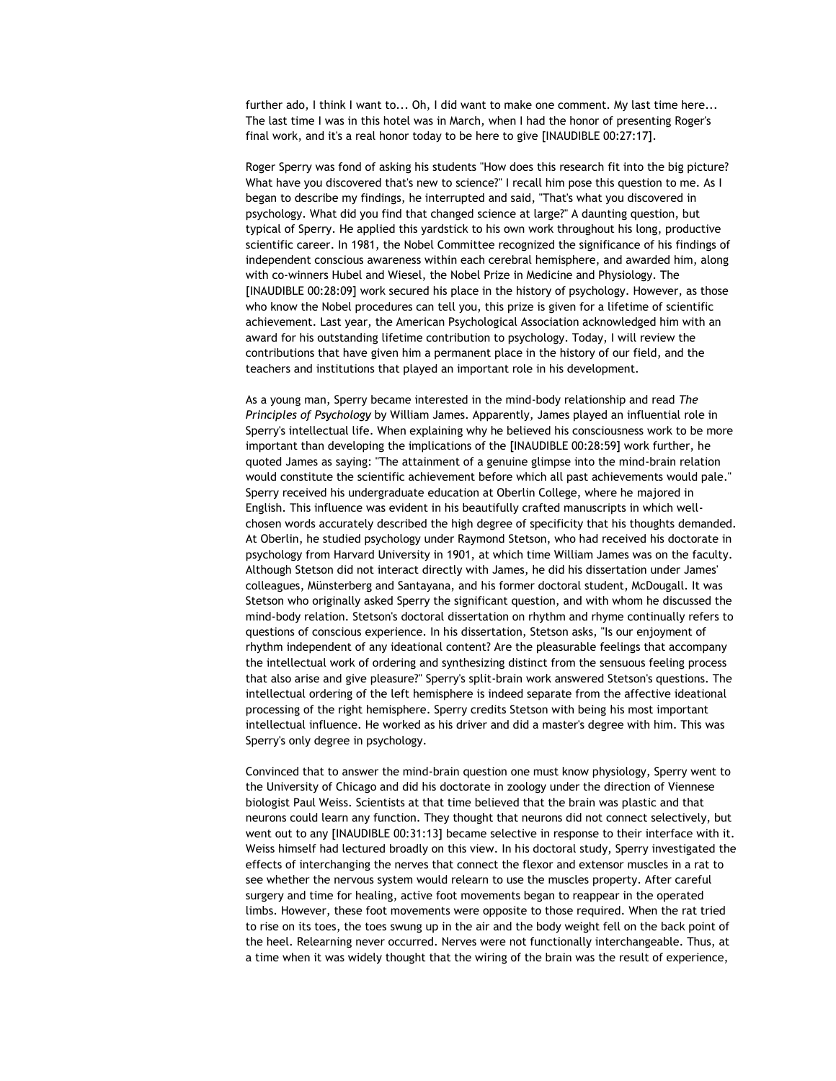further ado, I think I want to... Oh, I did want to make one comment. My last time here... The last time I was in this hotel was in March, when I had the honor of presenting Roger's final work, and it's a real honor today to be here to give [INAUDIBLE 00:27:17].

Roger Sperry was fond of asking his students "How does this research fit into the big picture? What have you discovered that's new to science?" I recall him pose this question to me. As I began to describe my findings, he interrupted and said, "That's what you discovered in psychology. What did you find that changed science at large?" A daunting question, but typical of Sperry. He applied this yardstick to his own work throughout his long, productive scientific career. In 1981, the Nobel Committee recognized the significance of his findings of independent conscious awareness within each cerebral hemisphere, and awarded him, along with co-winners Hubel and Wiesel, the Nobel Prize in Medicine and Physiology. The [INAUDIBLE 00:28:09] work secured his place in the history of psychology. However, as those who know the Nobel procedures can tell you, this prize is given for a lifetime of scientific achievement. Last year, the American Psychological Association acknowledged him with an award for his outstanding lifetime contribution to psychology. Today, I will review the contributions that have given him a permanent place in the history of our field, and the teachers and institutions that played an important role in his development.

As a young man, Sperry became interested in the mind-body relationship and read *The Principles of Psychology* by William James. Apparently, James played an influential role in Sperry's intellectual life. When explaining why he believed his consciousness work to be more important than developing the implications of the [INAUDIBLE 00:28:59] work further, he quoted James as saying: "The attainment of a genuine glimpse into the mind-brain relation would constitute the scientific achievement before which all past achievements would pale." Sperry received his undergraduate education at Oberlin College, where he majored in English. This influence was evident in his beautifully crafted manuscripts in which wellchosen words accurately described the high degree of specificity that his thoughts demanded. At Oberlin, he studied psychology under Raymond Stetson, who had received his doctorate in psychology from Harvard University in 1901, at which time William James was on the faculty. Although Stetson did not interact directly with James, he did his dissertation under James' colleagues, Münsterberg and Santayana, and his former doctoral student, McDougall. It was Stetson who originally asked Sperry the significant question, and with whom he discussed the mind-body relation. Stetson's doctoral dissertation on rhythm and rhyme continually refers to questions of conscious experience. In his dissertation, Stetson asks, "Is our enjoyment of rhythm independent of any ideational content? Are the pleasurable feelings that accompany the intellectual work of ordering and synthesizing distinct from the sensuous feeling process that also arise and give pleasure?" Sperry's split-brain work answered Stetson's questions. The intellectual ordering of the left hemisphere is indeed separate from the affective ideational processing of the right hemisphere. Sperry credits Stetson with being his most important intellectual influence. He worked as his driver and did a master's degree with him. This was Sperry's only degree in psychology.

Convinced that to answer the mind-brain question one must know physiology, Sperry went to the University of Chicago and did his doctorate in zoology under the direction of Viennese biologist Paul Weiss. Scientists at that time believed that the brain was plastic and that neurons could learn any function. They thought that neurons did not connect selectively, but went out to any [INAUDIBLE 00:31:13] became selective in response to their interface with it. Weiss himself had lectured broadly on this view. In his doctoral study, Sperry investigated the effects of interchanging the nerves that connect the flexor and extensor muscles in a rat to see whether the nervous system would relearn to use the muscles property. After careful surgery and time for healing, active foot movements began to reappear in the operated limbs. However, these foot movements were opposite to those required. When the rat tried to rise on its toes, the toes swung up in the air and the body weight fell on the back point of the heel. Relearning never occurred. Nerves were not functionally interchangeable. Thus, at a time when it was widely thought that the wiring of the brain was the result of experience,